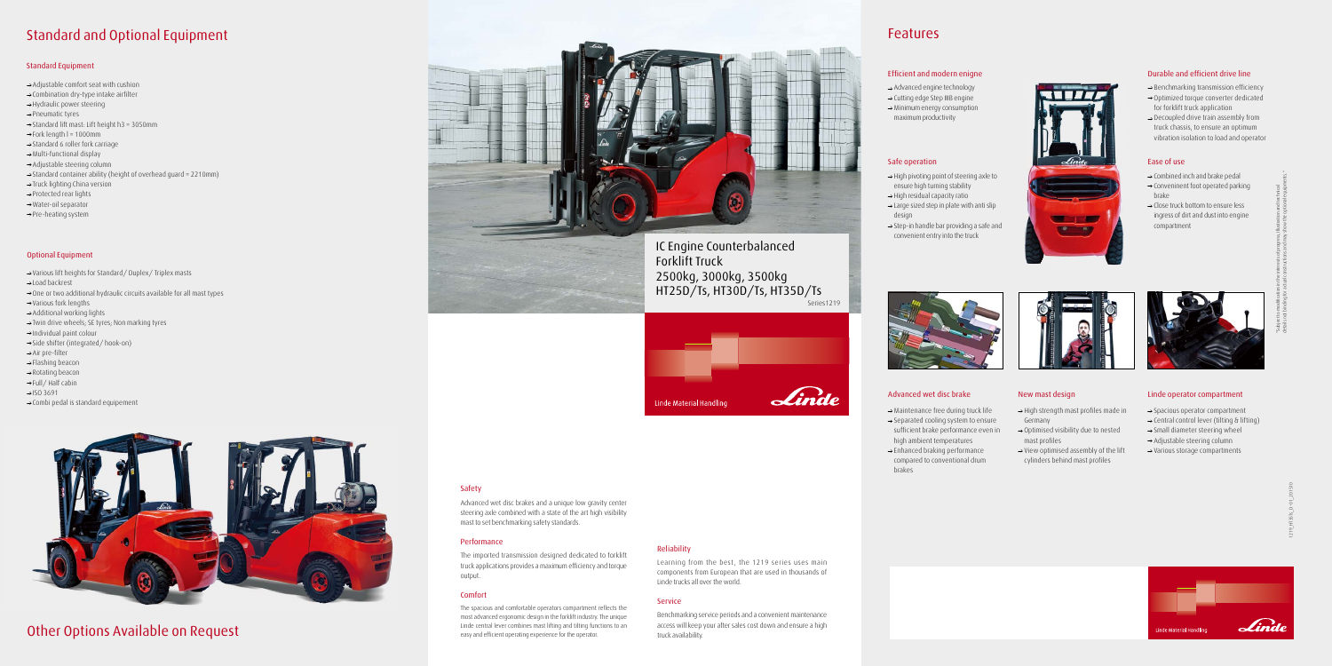## **Features**

### **Safety**

Advanced wet disc brakes and a unique low gravity center steering axle combined with a state of the art high visibility mast to set benchmarking safety standards.

### **Performance**

The imported transmission designed dedicated to forklift truck applications provides a maximum efficiency and torque output.

### **Comfort**

The spacious and comfortable operators compartment reflects the most advanced ergonomic design in the forklift industry. The unique Linde central lever combines mast lifting and tilting functions to an easy and efficient operating experience for the operator.

### **Reliability**

Learning from the best, the 1219 series uses main components from European that are used in thousands of Linde trucks all over the world.

### **Service**

Benchmarking service periods and a convenient maintenance access will keep your after sales cost down and ensure a high truck availability.

- $\rightarrow$  Benchmarking transmission efficiency
- $\rightarrow$  Optimized torque converter dedicated for forklift truck application
- $\rightarrow$  Decoupled drive train assembly from truck chassis, to ensure an optimum vibration isolation to load and operator





Series1219 IC Engine Counterbalanced 2500kg, 3000kg, 3500kg HT25D/Ts, HT30D/Ts, HT35D/Ts

| adling | Linde |
|--------|-------|
|        |       |





### **Efficient and modern enigne**



- $\rightarrow$  High pivoting point of steering axle to ensure high turning stability
- $\rightarrow$  High residual capacity ratio
- $\rightarrow$  Large sized step in plate with anti slip design
- $\rightarrow$  Step-in handle bar providing a safe and convenient entry into the truck

**Advanced wet disc brake New mast design Linde operator compartment**







- $\rightarrow$  Combined inch and brake pedal
- $\rightarrow$  Conveninent foot operated parking brake
- $\rightarrow$  Close truck bottom to ensure less ingress of dirt and dust into engine compartment

- $\rightarrow$  Maintenance free during truck life  $\rightarrow$  Separated cooling system to ensure
- sufficient brake performance even in high ambient temperatures  $\rightarrow$  Enhanced braking performance compared to conventional drum



- $\rightarrow$  High strength mast profiles made in Germany
- $\rightarrow$  Optimised visibility due to nested mast profiles
- $\rightarrow$  View optimised assembly of the lift cylinders behind mast profiles



- $\rightarrow$  Spacious operator compartment
- $\rightarrow$  Central control lever (tilting & lifting)
- $\rightarrow$  Small diameter steering wheel
- $\rightarrow$  Adjustable steering column
- $\rightarrow$  Various storage compartments
- Various lift heights for Standard/ Duplex/ Triplex masts
- Load backrest
- $\rightarrow$  One or two additional hydraulic circuits available for all mast types
- Various fork lengths
- $\rightarrow$  Additional working lights
- $\rightarrow$  Twin drive wheels; SE tyres; Non marking tyres
- $\rightarrow$ Individual paint colour
- $\rightarrow$  Side shifter (integrated/ hook-on)
- $\rightarrow$  Air pre-filter
- $\rightarrow$  Flashing beacon
- $\rightarrow$  Rotating beacon
- → Full / Half cabin
- $\rightarrow$ ISO 3691
- $\rightarrow$  Combi pedal is standard equipement



### **Durable and efficient drive line**

- Advanced engine technology
- $\rightarrow$  Cutting edge Step IIIB engine
- $\rightarrow$  Minimum energy consumption maximum productivity

brakes



## **Standard and Optional Equipment**

### **Standard Equipment**

- $\rightarrow$  Adjustable comfort seat with cushion
- $\rightarrow$  Combination dry-type intake airfilter
- $\rightarrow$  Hydraulic power steering
- $\rightarrow$  Pneumatic tyres
- $\rightarrow$  Standard lift mast: Lift height h3 = 3050mm
- $\rightarrow$  Fork length I = 1000mm
- $\rightarrow$  Standard 6 roller fork carriage
- $\rightarrow$  Multi-functional display
- Adjustable steering column
- $\rightarrow$  Standard container ability (height of overhead guard = 2210mm)
- $\rightarrow$  Truck lighting China version
- $\rightarrow$  Protected rear lights
- Water-oil separator
- $\rightarrow$  Pre-heating system

### **Optional Equipment**

## **Other Options Available on Request**